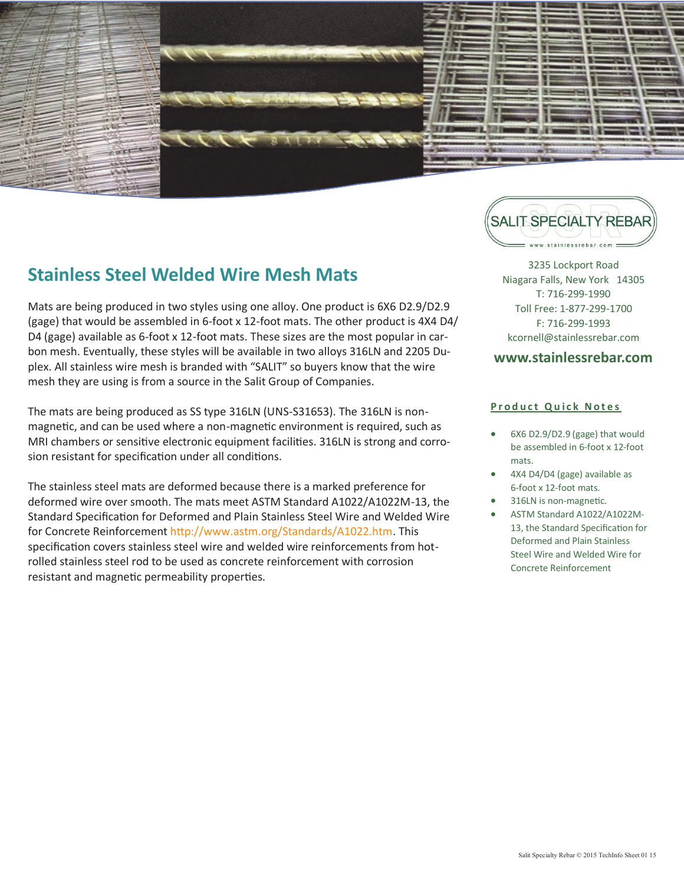

## **Stainless Steel Welded Wire Mesh Mats**

Mats are being produced in two styles using one alloy. One product is 6X6 D2.9/D2.9 (gage) that would be assembled in 6-foot x 12-foot mats. The other product is 4X4 D4/ D4 (gage) available as 6-foot x 12-foot mats. These sizes are the most popular in carbon mesh. Eventually, these styles will be available in two alloys 316LN and 2205 Duplex. All stainless wire mesh is branded with "SALIT" so buyers know that the wire mesh they are using is from a source in the Salit Group of Companies.

The mats are being produced as SS type 316LN (UNS-S31653). The 316LN is nonmagnetic, and can be used where a non-magnetic environment is required, such as MRI chambers or sensitive electronic equipment facilities. 316LN is strong and corrosion resistant for specification under all conditions.

The stainless steel mats are deformed because there is a marked preference for deformed wire over smooth. The mats meet ASTM Standard A1022/A1022M-13, the Standard Specification for Deformed and Plain Stainless Steel Wire and Welded Wire for Concrete Reinforcement http://www.astm.org/Standards/A1022.htm. This specification covers stainless steel wire and welded wire reinforcements from hotrolled stainless steel rod to be used as concrete reinforcement with corrosion resistant and magnetic permeability properties.

**SALIT SPECIALTY REBAR** 3235 Lockport Road

Niagara Falls, New York 14305 T: 716-299-1990 Toll Free: 1-877-299-1700 F: 716-299-1993 kcornell@stainlessrebar.com

#### **www.stainlessrebar.com**

#### **Product Quick Notes**

- 6X6 D2.9/D2.9 (gage) that would be assembled in 6-foot x 12-foot mats.
- 4X4 D4/D4 (gage) available as 6-foot x 12-foot mats.
- 316LN is non-magnetic.
- ASTM Standard A1022/A1022M-13, the Standard Specification for Deformed and Plain Stainless Steel Wire and Welded Wire for Concrete Reinforcement